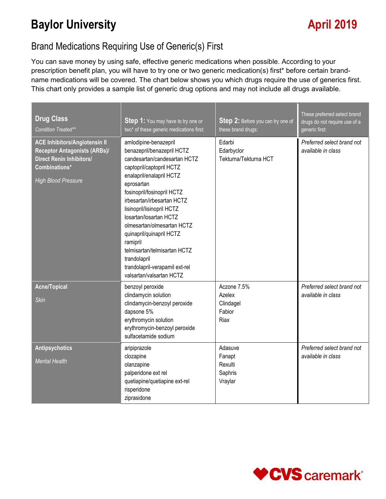# **Baylor University April 2019**

### Brand Medications Requiring Use of Generic(s) First

You can save money by using safe, effective generic medications when possible. According to your prescription benefit plan, you will have to try one or two generic medication(s) first\* before certain brandname medications will be covered. The chart below shows you which drugs require the use of generics first. This chart only provides a sample list of generic drug options and may not include all drugs available.

| <b>Drug Class</b><br>Condition Treated**                                                                                                                      | <b>Step 1:</b> You may have to try one or<br>two* of these generic medications first:                                                                                                                                                                                                                                                                                                                                                                             | Step 2: Before you can try one of<br>these brand drugs:     | These preferred select brand<br>drugs do not require use of a<br>generic first: |
|---------------------------------------------------------------------------------------------------------------------------------------------------------------|-------------------------------------------------------------------------------------------------------------------------------------------------------------------------------------------------------------------------------------------------------------------------------------------------------------------------------------------------------------------------------------------------------------------------------------------------------------------|-------------------------------------------------------------|---------------------------------------------------------------------------------|
| <b>ACE Inhibitors/Angiotensin II</b><br><b>Receptor Antagonists (ARBs)/</b><br><b>Direct Renin Inhibitors/</b><br>Combinations*<br><b>High Blood Pressure</b> | amlodipine-benazepril<br>benazepril/benazepril HCTZ<br>candesartan/candesartan HCTZ<br>captopril/captopril HCTZ<br>enalapril/enalapril HCTZ<br>eprosartan<br>fosinopril/fosinopril HCTZ<br>irbesartan/irbesartan HCTZ<br>lisinopril/lisinopril HCTZ<br>losartan/losartan HCTZ<br>olmesartan/olmesartan HCTZ<br>quinapril/quinapril HCTZ<br>ramipril<br>telmisartan/telmisartan HCTZ<br>trandolapril<br>trandolapril-verapamil ext-rel<br>valsartan/valsartan HCTZ | Edarbi<br>Edarbyclor<br>Tekturna/Tekturna HCT               | Preferred select brand not<br>available in class                                |
| <b>Acne/Topical</b><br><b>Skin</b>                                                                                                                            | benzoyl peroxide<br>clindamycin solution<br>clindamycin-benzoyl peroxide<br>dapsone 5%<br>erythromycin solution<br>erythromycin-benzoyl peroxide<br>sulfacetamide sodium                                                                                                                                                                                                                                                                                          | Aczone 7.5%<br>Azelex<br>Clindagel<br>Fabior<br><b>Riax</b> | Preferred select brand not<br>available in class                                |
| <b>Antipsychotics</b><br><b>Mental Health</b>                                                                                                                 | aripiprazole<br>clozapine<br>olanzapine<br>palperidone ext rel<br>quetiapine/quetiapine ext-rel<br>risperidone<br>ziprasidone                                                                                                                                                                                                                                                                                                                                     | Adasuve<br>Fanapt<br>Rexulti<br>Saphris<br>Vraylar          | Preferred select brand not<br>available in class                                |

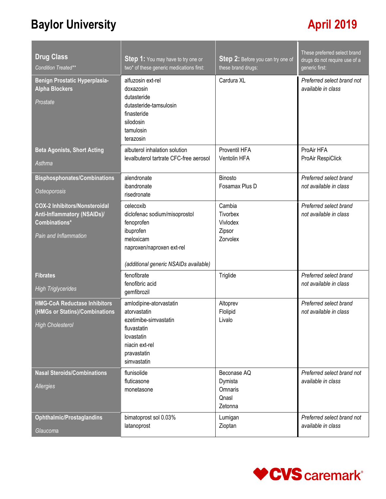# **Baylor University April 2019**

| <b>Drug Class</b>                                                                                                    | <b>Step 1:</b> You may have to try one or                                                                                                                | Step 2: Before you can try one of                     | These preferred select brand<br>drugs do not require use of a |
|----------------------------------------------------------------------------------------------------------------------|----------------------------------------------------------------------------------------------------------------------------------------------------------|-------------------------------------------------------|---------------------------------------------------------------|
| Condition Treated**                                                                                                  | two* of these generic medications first:                                                                                                                 | these brand drugs:                                    | generic first:                                                |
| Benign Prostatic Hyperplasia-<br><b>Alpha Blockers</b><br>Prostate                                                   | alfuzosin ext-rel<br>doxazosin<br>dutasteride<br>dutasteride-tamsulosin<br>finasteride<br>silodosin<br>tamulosin<br>terazosin                            | Cardura XL                                            | Preferred select brand not<br>available in class              |
| <b>Beta Agonists, Short Acting</b><br>Asthma                                                                         | albuterol inhalation solution<br>levalbuterol tartrate CFC-free aerosol                                                                                  | Proventil HFA<br>Ventolin HFA                         | ProAir HFA<br>ProAir RespiClick                               |
| <b>Bisphosphonates/Combinations</b>                                                                                  | alendronate                                                                                                                                              | <b>Binosto</b>                                        | Preferred select brand                                        |
| <b>Osteoporosis</b>                                                                                                  | ibandronate<br>risedronate                                                                                                                               | Fosamax Plus D                                        | not available in class                                        |
| <b>COX-2 Inhibitors/Nonsteroidal</b><br><b>Anti-Inflammatory (NSAIDs)/</b><br>Combinations*<br>Pain and Inflammation | celecoxib<br>diclofenac sodium/misoprostol<br>fenoprofen<br>ibuprofen<br>meloxicam<br>naproxen/naproxen ext-rel<br>(additional generic NSAIDs available) | Cambia<br>Tivorbex<br>Vivlodex<br>Zipsor<br>Zorvolex  | Preferred select brand<br>not available in class              |
| <b>Fibrates</b><br><b>High Triglycerides</b>                                                                         | fenofibrate<br>fenofibric acid<br>gemfibrozil                                                                                                            | Triglide                                              | Preferred select brand<br>not available in class              |
| <b>HMG-CoA Reductase Inhibitors</b><br>(HMGs or Statins)/Combinations<br><b>High Cholesterol</b>                     | amlodipine-atorvastatin<br>atorvastatin<br>ezetimibe-simvastatin<br>fluvastatin<br>lovastatin<br>niacin ext-rel<br>pravastatin<br>simvastatin            | Altoprev<br>Flolipid<br>Livalo                        | Preferred select brand<br>not available in class              |
| <b>Nasal Steroids/Combinations</b><br>Allergies                                                                      | flunisolide<br>fluticasone<br>monetasone                                                                                                                 | Beconase AQ<br>Dymista<br>Omnaris<br>Qnasl<br>Zetonna | Preferred select brand not<br>available in class              |
| <b>Ophthalmic/Prostaglandins</b><br>Glaucoma                                                                         | bimatoprost sol 0.03%<br>latanoprost                                                                                                                     | Lumigan<br>Zioptan                                    | Preferred select brand not<br>available in class              |